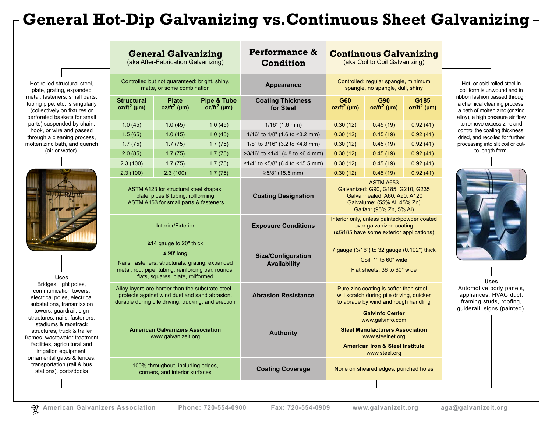# **General Hot-Dip Galvanizing vs[.Continuous Sheet Galvanizing](http://www.galvanizeit.org/corrosion/corrosion-protection/zinc-coatings/continuous-sheet-galvanizing)**

Hot-rolled structural steel, plate, grating, expanded metal, fasteners, small parts, tubing pipe, etc. is singularly (collectively on fixtures or perforated baskets for small parts) suspended by chain, hook, or wire and passed through a cleaning process, molten zinc bath, and quench (air or water).



**Uses** Bridges, light poles, communication towers, electrical poles, electrical substations, transmission towers, guardrail, sign structures, nails, fasteners, stadiums & racetrack structures, truck & trailer frames, wastewater treatment facilities, agricultural and irrigation equipment, ornamental gates & fences, transportation (rail & bus stations), ports/docks

|  | <b>General Galvanizing</b><br>(aka After-Fabrication Galvanizing)                                                                                                                                                                                                                                                                                                                                                                                   |                                | Performance &<br><b>Condition</b>        | <b>Continuous Galvanizing</b><br>(aka Coil to Coil Galvanizing) |                                                                                                                                                                         |                              |                        |
|--|-----------------------------------------------------------------------------------------------------------------------------------------------------------------------------------------------------------------------------------------------------------------------------------------------------------------------------------------------------------------------------------------------------------------------------------------------------|--------------------------------|------------------------------------------|-----------------------------------------------------------------|-------------------------------------------------------------------------------------------------------------------------------------------------------------------------|------------------------------|------------------------|
|  | Controlled but not guaranteed: bright, shiny,<br>matte, or some combination                                                                                                                                                                                                                                                                                                                                                                         |                                |                                          | Appearance                                                      | Controlled: regular spangle, minimum<br>spangle, no spangle, dull, shiny                                                                                                |                              |                        |
|  | <b>Structural</b><br>$oz/ft^2$ (µm)                                                                                                                                                                                                                                                                                                                                                                                                                 | <b>Plate</b><br>$oz/ft^2$ (µm) | <b>Pipe &amp; Tube</b><br>$oz/ft^2$ (µm) | <b>Coating Thickness</b><br>for Steel                           | G60<br>$oz/ft^2$ (µm)                                                                                                                                                   | <b>G90</b><br>$oz/ft^2$ (µm) | G185<br>$oz/ft^2$ (µm) |
|  | 1.0(45)                                                                                                                                                                                                                                                                                                                                                                                                                                             | 1.0(45)                        | 1.0(45)                                  | $1/16$ " (1.6 mm)                                               | 0.30(12)                                                                                                                                                                | 0.45(19)                     | 0.92(41)               |
|  | 1.5(65)                                                                                                                                                                                                                                                                                                                                                                                                                                             | 1.0(45)                        | 1.0(45)                                  | 1/16" to $1/8$ " (1.6 to <3.2 mm)                               | 0.30(12)                                                                                                                                                                | 0.45(19)                     | 0.92(41)               |
|  | 1.7(75)                                                                                                                                                                                                                                                                                                                                                                                                                                             | 1.7(75)                        | 1.7(75)                                  | 1/8" to 3/16" (3.2 to <4.8 mm)                                  | 0.30(12)                                                                                                                                                                | 0.45(19)                     | 0.92(41)               |
|  | 2.0(85)                                                                                                                                                                                                                                                                                                                                                                                                                                             | 1.7(75)                        | 1.7(75)                                  | >3/16" to <1/4" (4.8 to <6.4 mm)                                | 0.30(12)                                                                                                                                                                | 0.45(19)                     | 0.92(41)               |
|  | 2.3(100)                                                                                                                                                                                                                                                                                                                                                                                                                                            | 1.7(75)                        | 1.7(75)                                  | ≥1/4" to <5/8" (6.4 to <15.5 mm)                                | 0.30(12)                                                                                                                                                                | 0.45(19)                     | 0.92(41)               |
|  | 2.3(100)                                                                                                                                                                                                                                                                                                                                                                                                                                            | 2.3(100)                       | 1.7(75)                                  | $≥5/8"$ (15.5 mm)                                               | 0.30(12)                                                                                                                                                                | 0.45(19)                     | 0.92(41)               |
|  | ASTM A123 for structural steel shapes.<br>plate, pipes & tubing, rollforming<br>ASTM A153 for small parts & fasteners                                                                                                                                                                                                                                                                                                                               |                                |                                          | <b>Coating Designation</b>                                      | <b>ASTM A653</b><br>Galvanized: G90, G185, G210, G235<br>Galvannealed: A60, A90, A120<br>Galvalume: (55% Al, 45% Zn)<br>Galfan: (95% Zn, 5% Al)                         |                              |                        |
|  | Interior/Exterior<br>$\geq$ 14 gauge to 20" thick<br>$\leq 90'$ long<br>Nails, fasteners, structurals, grating, expanded<br>metal, rod, pipe, tubing, reinforcing bar, rounds,<br>flats, squares, plate, rollformed<br>Alloy layers are harder than the substrate steel -<br>protects against wind dust and sand abrasion,<br>durable during pile driving, trucking, and erection<br><b>American Galvanizers Association</b><br>www.galvanizeit.org |                                |                                          | <b>Exposure Conditions</b>                                      | Interior only, unless painted/powder coated<br>over galvanized coating<br>(≥G185 have some exterior applications)                                                       |                              |                        |
|  |                                                                                                                                                                                                                                                                                                                                                                                                                                                     |                                |                                          | <b>Size/Configuration</b><br><b>Availability</b>                | 7 gauge (3/16") to 32 gauge (0.102") thick<br>Coil: 1" to 60" wide<br>Flat sheets: 36 to 60" wide                                                                       |                              |                        |
|  |                                                                                                                                                                                                                                                                                                                                                                                                                                                     |                                |                                          | <b>Abrasion Resistance</b>                                      | Pure zinc coating is softer than steel -<br>will scratch during pile driving, quicker<br>to abrade by wind and rough handling                                           |                              |                        |
|  |                                                                                                                                                                                                                                                                                                                                                                                                                                                     |                                |                                          | <b>Authority</b>                                                | <b>Galvinfo Center</b><br>www.galvinfo.com<br><b>Steel Manufacturers Association</b><br>www.steelnet.org<br><b>American Iron &amp; Steel Institute</b><br>www.steel.org |                              |                        |
|  | 100% throughout, including edges,<br>corners, and interior surfaces                                                                                                                                                                                                                                                                                                                                                                                 |                                |                                          | <b>Coating Coverage</b>                                         | None on sheared edges, punched holes                                                                                                                                    |                              |                        |

Hot- or cold-rolled steel in coil form is unwound and in ribbon fashion passed through a chemical cleaning process, a bath of molten zinc (or zinc alloy), a high pressure air flow to remove excess zinc and control the coating thickness, dried, and recoiled for further processing into slit coil or cutto-length form.



**Uses** Automotive body panels, appliances, HVAC duct, framing studs, roofing, guiderail, signs (painted).